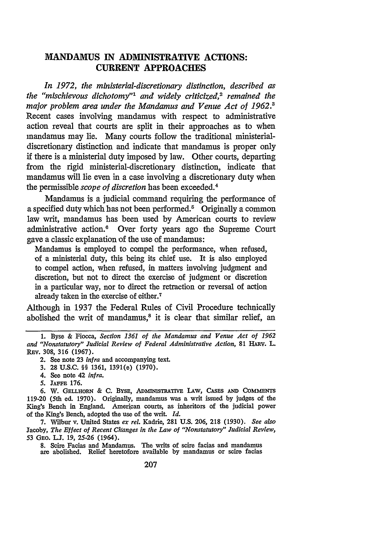## **MANDAMUS IN ADMINISTRATIVE ACTIONS: CURRENT APPROACHES**

*In 1972, the ministerial-discretionary distinction, described as the "mischievous dichotomy"1 and widely criticized,2 remained the* major problem area under the Mandamus and Venue Act of 1962.<sup>3</sup> Recent cases involving mandamus with respect to administrative action reveal that courts are split in their approaches as to when mandamus may lie. Many courts follow the traditional ministerialdiscretionary distinction and indicate that mandamus is proper only if there is a ministerial duty imposed **by** law. Other courts, departing from the rigid ministerial-discretionary distinction, indicate that mandamus will lie even in a case involving a discretionary duty when the permissible *scope of discretion* has been exceeded. <sup>4</sup>

Mandamus is a judicial command requiring the performance of a specified duty which has not been performed.<sup>5</sup> Originally a common law writ, mandamus has been used **by** American courts to review administrative action.6 Over forty years ago the Supreme Court gave a classic explanation of the use of mandamus:

Mandamus is employed to compel the performance, when refused, of a ministerial duty, this being its chief use. It is also employed to compel action, when refused, in matters involving judgment and discretion, but not to direct the exercise of judgment or discretion in a particular way, nor to direct the retraction or reversal of action already taken in the exercise of either.7

Although in **1937** the Federal Rules of Civil Procedure technically abolished the writ of mandamus, $8$  it is clear that similar relief, an

**7.** Wilbur **v.** United States *ex rel.* Kadrie, **281 U.S. 206, 218 (1930).** *See also* Jacoby, *The Effect of Recent Changes in the Law of "Nonstatutory" Judicial Review,* 53 **GEO. IJ. 19, 25-26** (1964).

**8.** Scire Facias and Mandamus. The writs of scire facias and mandamus are abolished. Relief heretofore available **by** mandamus or scire facias

**<sup>1.</sup>** Byse & Fiocca, *Section 1361 of the Mandamus and Venue Act of 1962 and "Nonstatutory" Judicial Review of Federal Administrative Action,* **81** HARv. L. REv. **308, 316 (1967).**

<sup>2.</sup> See note **23** *infra* and accompanying text.

**<sup>3. 28</sup> U.S.C.** §§ **1361,** 1391(e) **(1970).**

<sup>4.</sup> See note 42 *infra.*

**<sup>5.</sup> JAFFE 176.**

<sup>6.</sup> W. GELLHORN & C. BYSE, ADMINISTRATIVE LAW, CASES AND COMMENTS **119-20** (5th ed. **1970).** Originally, mandamus was a writ issued **by** judges of the King's Bench in England. American courts, as inheritors of the judicial power of the King's Bench, adopted the use of the writ. *Id.*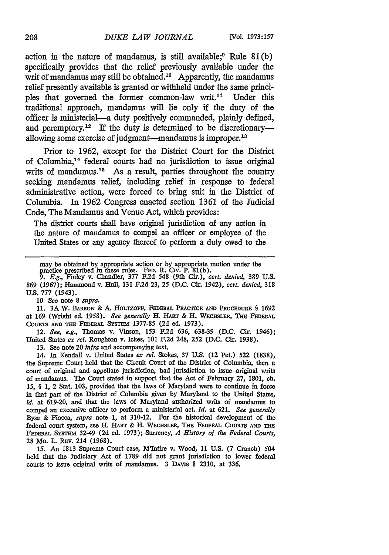action in the nature of mandamus, is still available; $9$  Rule 81(b) specifically provides that the relief previously available under the writ of mandamus may still be obtained.<sup>10</sup> Apparently, the mandamus relief presently available is granted or withheld under the same principles that governed the former common-law writ.<sup>11</sup> Under this traditional approach, mandamus will lie only if the duty of the officer is ministerial-a duty positively commanded, plainly defined, and peremptory.<sup>12</sup> If the duty is determined to be discretionaryallowing some exercise of judgment-mandamus is improper.<sup>18</sup>

Prior to 1962, except for the District Court for the District of Columbia,14 federal courts had no jurisdiction to issue original writs of mandumus. $15$  As a result, parties throughout the country seeking mandamus relief, including relief in response to federal administrative action, were forced to bring suit in the District of Columbia. **In** 1962 Congress enacted section 1361 of the Judicial Code, The Mandamus and Venue Act, which provides:

The district courts shall have original jurisdiction of any action in the nature of mandamus to compel an officer or employee of the United States or any agency thereof to perform a duty owed to the

**869 (1967);** Hammond v. Hull, **131 F.2d 23,** 25 **(D.C.** Cir. **1942),** *cert. denied,* **318** *U.S.* **777** (1943).

**10** See note **8** *supra.*

**11. 3A** W. **BARRON** & **A.** HOLTZOFF, **FEDERAL PRACTICE AND PRocEDURE** § 1692 at **169** (Wright ed. **1958).** *See generally* H. **HART** & H. **WECHSLER, Tim FEDERAL COURTS AM TIM FEDERAL SYSTEM** 1377-85 **(2d** ed. **1973).**

12. *See, e.g.,* Thomas v. Vinson, 153 F.2d 636, 638-39 (D.C. Cir. 1946); United States *ex rel.* Roughton v. Ickes, **101 F.2d** 248, 252 (D.C. Cir. 1938).

13. **See** note 20 *infra* and accompanying text.

14. In Kendall v. United States *ex rel.* Stokes, 37 **U.S.** (12 Pet.) 522 (1838), the Supreme Court held that the Circuit Court of the District of Columbia, then a court of original and appellate jurisdiction, had jurisdiction to issue original writs of mandamus. The Court stated in support that the Act of February **27, 1801,** ch. *15,* § **1,** 2 Stat. **103,** provided that the laws of Maryland were to continue in force in that part of the District of Columbia given **by** Maryland to the United States, *id.* at **619-20,** and that the laws of Maryland authorized writs of mandamus to compel an executive officer to perform a ministerial act. *Id.* **at 621.** *See generally* Byse & Fiocca, *supra* note 1, at 310-12. For the historical development of the federal court system, see H. **HART** & **H. WECHSLER, THu FEDERAL COURTS AND THu FEDERAL SYSTEm** 32-49 **(2d** ed. **1973);** Surrency, *A History of the Federal Courts,* 28 Mo. L. REv. 214 (1968).

15. *An* 1813 Supreme Court case, M'Intire v. Wood, 11 U.S. **(7** Cranch) 504 held that the Judiciary Act of 1789 did not grant jurisdiction to lower federal courts to issue original writs of mandamus. **3 DAvis** § 2310, at 336.

may be obtained by appropriate action or by appropriate motion under the practice prescribed in these rules. FED. R. Civ. P. 81(b).<br>9. E.g., Finley v. Chandler, 377 F.2d 548 (9th Cir.), cert. denied, 389 U.S.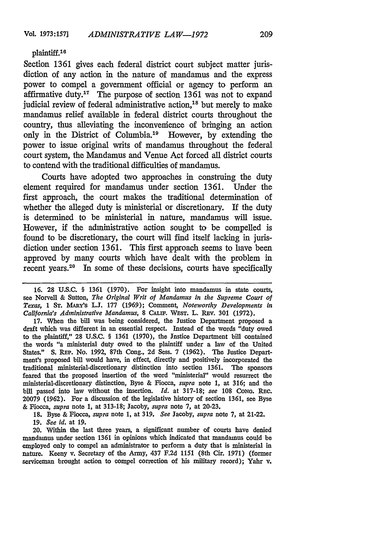## plaintiff. <sup>16</sup>

Section 1361 gives each federal district court subject matter jurisdiction of any action in the nature of mandamus and the express power to compel a government official or agency to perform an affirmative duty.<sup>17</sup> The purpose of section 1361 was not to expand judicial review of federal administrative action,<sup>18</sup> but merely to make mandamus relief available in federal district courts throughout the country, thus alleviating the inconvenience of bringing an action only in the District of Columbia.19 However, by extending the power to issue original writs of mandamus throughout the federal court system, the Mandamus and Venue Act forced all district courts to contend with the traditional difficulties of mandamus.

Courts have adopted two approaches in construing the duty element required for mandamus under section 1361. Under the first approach, the court makes the traditional determination of whether the alleged duty is ministerial or discretionary. If the duty is determined to be ministerial in nature, mandamus will issue. However, if the administrative action sought to be compelled is found to be discretionary, the court will find itself lacking in jurisdiction under section 1361. This first approach seems to have been approved by many courts which have dealt with the problem in recent years.<sup>20</sup> In some of these decisions, courts have specifically

17. When the bill was being considered, the Justice Department proposed a draft which was different in an essential respect. Instead of the words "duty owed to the plaintiff," 28 U.S.C.  $\frac{6}{5}$  1361 (1970), the Jnstice Department bill contained the words "a ministerial duty owed to the plaintiff under a law of the United States." S. REP. No. 1992, 87th Cong., 2d Sess. 7 (1962). The Justice Department's proposed bill would have, in effect, directly and positively incorporated the traditional ministerial-discretionary distinction into section **1361.** The sponsors feared that the proposed insertion of the word "ministerial" would resurrect the ministerial-discretionary distinction, Byse & Fiocca, *supra* note 1, at 316; and the bill passed into law without the insertion. *Id.* at 317-18; see 108 Cong. REC. 20079 (1962). For a discussion of the legislative history of section 1361, see Byse & Fiocca, *supra* note 1, at 313-18; Jacoby, *supra* note 7, at 20-23.

**18.** Byse & Fiocca, *supra* note 1, at 319. *See* Jacoby, *supra* note 7, at 21-22.

19. *See id.* at 19.

20. Within the last three years, a significant number of courts have denied mandamus under section 1361 in opinions which indicated that mandamus could be employed only to compel an administrator to perform a duty that is ministerial in nature. Keeny v. Secretary of the Army, 437 F.2d 1151 (8th Cir. **1971)** (former serviceman brought action to compel correction of his military record); Yahr v.

**<sup>16. 28</sup> U.S.C.** § **1361 (1970).** For insight into mandamus in state courts, see Norvell & Sutton, *The Original Writ of Mandamus in the Supreme Court of Texas,* **1 ST.** MARY's **LJ.** 177 (1969); Comment, *Noteworthy Developments in California's Administrative Mandamus, 8 CALIF. WEST. L. REV. 301 (1972).*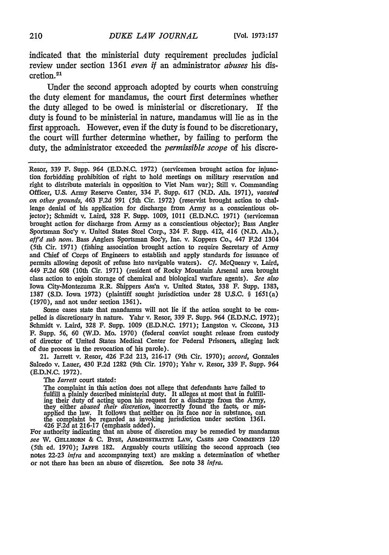indicated that the ministerial duty requirement precludes judicial review under section 1361 *even if* an administrator *abuses* his discretion.<sup>21</sup>

Under the second approach adopted by courts when construing the duty element for mandamus, the court first determines whether the duty alleged to be owed is ministerial or discretionary. If the duty is found to be ministerial in nature, mandamus will lie as in the first approach. However, even if the duty is found to be discretionary, the court will further determine whether, by failing to perform the duty, the administrator exceeded the *permissible scope* of his discre-

Resor, 339 F. Supp. 964 (E.D.N.C. 1972) (servicemen brought action for injunction forbidding prohibition of right to hold meetings on military reservation and right to distribute materials in opposition to Viet Nam war); Still v. Commanding Officer, U.S. Army Reserve Center, 334 F. Supp. 617 (N.D. Ala. 1971), *vacated on other grounds,* 463 F.2d 991 (5th Cir. 1972) (reservist brought action to challenge denial of his application for discharge from Army as a conscientious objector); Schmidt v. Laird, 328 F. Supp. 1009, 1011 (E.D.N.C. 1971) (serviceman brought action for discharge from Army as a conscientious objector); Bass Angler Sportsman Soe'y v. United States Steel Corp., 324 F. Supp. 412, 416 (N.D. Ala.), *aff'd sub nom.* Bass Anglers Sportsman Soc'y, Inc. v. Koppers Co., 447 F.2d 1304 (5th Cir. 1971) (fishing association brought action to require Secretary of Army and Chief of Corps of Engineers to establish and apply standards for issuance of permits allowing deposit of refuse into navigable waters). *Cf.* McQueary v. Laird, 449 F.2d 608 (10th Cir. 1971) (resident of Rocky Mountain Arsenal area brought class action to enjoin storage of chemical and biological warfare agents). *See also* Iowa City-Montezuma R.R. Shippers Ass'n v. United States, 338 F. Supp. 1383, 1387 (S.D. Iowa 1972) (plaintiff sought jurisdiction under 28 U.S.C. § 1651(a) (1970), and not under section 1361).

Some cases state that mandamus will not lie if the action sought to be compelled is discretionary in nature. Yahr v. Resor, 339 F. Supp. 964 (E.D.N.C. **1972);** Schmidt v. Laird, 328 F. Supp. 1009 (E.D.N.C. 1971); Langston v. Ciccone, **313** F. Supp. *56,* **60** (W.D. Mo. 1970) (federal convict sought release from custody of director of United States Medical Center for Federal Prisoners, alleging lack of due process in the revocation of his parole).

21. Jarrett v. Resor, 426 F.2d 213, 216-17 (9th Cir. 1970); *accord,* Gonzales Salcedo v. Lauer, 430 F.2d 1282 (9th Cir. 1970); Yahr v. Resor, **339** F. Supp. *964* (E.D.N.C. 1972).

*The Jarrett* court stated:

The complaint in this action does not allege that defendants have failed to fulfill a plainly described ministerial duty. It alleges at most that in fulfilling their duty of acting upon his request for a discharge from the Army, they either *abused their discretion,* incorrectly found the facts, or misapplied the law. It follows that neither on its face nor in substance, can the complaint be regarded as invoking jurisdiction under section 1361.  $426$  F.2d at 216-17 (emphasis added).

For authority indicating that an abuse of discretion may be remedied by mandamus *see* W. GELLHORN & C. Bysn, ADMnnSmrA= LAW, CAsns **AND** Comrssn 120 (5th ed. 1970); **JAFFE** 182. Arguably courts utilizing the second approach (see notes **22-23** *infra* and accompanying text) are making a determination of whether or not there has been an abuse of dis.cretion. See note **38** *infra.*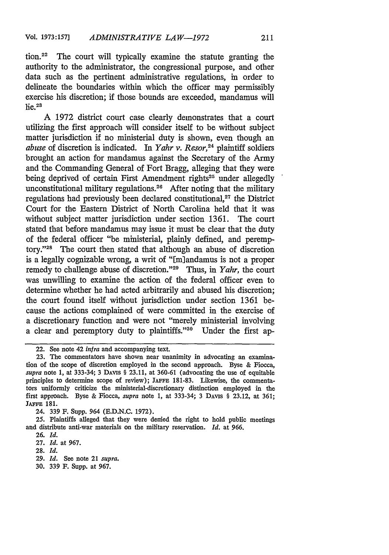tion.22 The court will typically examine the statute granting the authority to the administrator, the congressional purpose, and other data such as the pertinent administrative regulations, in order to delineate the boundaries within which the officer may permissibly exercise his discretion; if those bounds are exceeded, mandamus will  $he.$ <sup>23</sup>

A 1972 district court case clearly demonstrates that a court utilizing the first approach will consider itself to be without subject matter jurisdiction if no ministerial duty is shown, even though an *abuse* of discretion is indicated. In *Yahr v. Resor,24* plaintiff soldiers brought an action for mandamus against the Secretary of the Army and the Commanding General of Fort Bragg, alleging that they were being deprived of certain First Amendment rights<sup>25</sup> under allegedly unconstitutional military regulations.<sup>26</sup> After noting that the military regulations had previously been declared constitutional,27 the District Court for the Eastern District of North Carolina held that it was without subject matter jurisdiction under section 1361. The court stated that before mandamus may issue it must be clear that the duty of the federal officer "be ministerial, plainly defined, and peremptory."<sup>28</sup> The court then stated that although an abuse of discretion is a legally cognizable wrong, a writ of "[m]andamus is not a proper remedy to challenge abuse of discretion. '29 Thus, in *Yahr,* the court was unwilling to examine the action of the federal officer even to determine whether he had acted arbitrarily and abused his discretion; the court found itself without jurisdiction under section 1361 because the actions complained of were committed in the exercise of a discretionary function and were not "merely ministerial involving a clear and peremptory duty to plaintiffs." $30$  Under the first ap-

- 29. *Id.* See note 21 *supra.*
- 30. 339 F. Supp. at 967.

<sup>22.</sup> See note 42 *infra* and accompanying text.

<sup>23.</sup> The commentators have shown near unanimity in advocating an examination of the scope of discretion employed in the second approach. Byse & Fiocca, *supra* note 1, at 333-34; 3 **DAvis** § 23.11, at 360-61 (advocating the use of equitable principles to determine scope of review); **JAFFE** 181-83. Likewise, the commentators uniformly criticize the ministerial-discretionary distinction employed in the first approach. Byse & Fiocca, *supra* note 1, at 333-34; 3 DAvis § 23.12, at 361; **JAFFE** 181.

<sup>24. 339</sup> F. Supp. 964 (E.D.N.C. 1972).

<sup>25.</sup> Plaintiffs alleged that they were denied the right to hold public meetings and distribute anti-war materials on the military reservation. *Id.* at 966.

<sup>26.</sup> *Id.*

<sup>27.</sup> *Id.* at 967.

<sup>28.</sup> *Id.*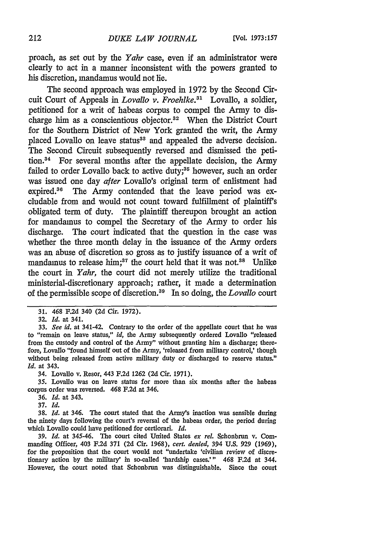proach, as set out by the *Yahr* case, even if an administrator were clearly to act in a manner inconsistent with the powers granted to his discretion, mandamus would not lie.

The second approach was employed in 1972 by the Second Circuit Court of Appeals in *Lovallo v. Froehlke.31* Lovallo, a soldier, petitioned for a writ of habeas corpus to compel the Army to discharge him as a conscientious objector.<sup>32</sup> When the District Court for the Southern District of New York granted the writ, the Army placed Lovallo on leave status<sup>33</sup> and appealed the adverse decision. The Second Circuit subsequently reversed and dismissed the petition.34 For several months after the appellate decision, the Army failed to order Lovallo back to active duty;<sup>35</sup> however, such an order was issued one day *after* Lovallo's original term of enlistment had expired.<sup>36</sup> The Army contended that the leave period was excludable from and would not count toward fulfillment of plaintiff's obligated term of duty. The plaintiff thereupon brought an action for mandamus to compel the Secretary of the Army to order his discharge. The court indicated that the question in the case was whether the three month delay in the issuance of the Army orders was an abuse of discretion so gross as to justify issuance of a writ of mandamus to release him;<sup>37</sup> the court held that it was not.<sup>38</sup> Unlike the court in *Yahr,* the court did not merely utilize the traditional ministerial-discretionary approach; rather, it made a determination of the permissible scope of discretion.3 9 In so doing, the *Lovallo* court

33. *See id.* at 341-42. Contrary to the order of the appellate court that he was to "remain on leave status," *id,* the Army subsequently ordered Lovallo "released from the custody and control of the Army" without granting him a discharge; therefore, Lovallo "found himself out of the Army, 'released from military control,' though without being released from active military duty or discharged to reserve status," *Id.* at 343.

34. Lovallo v. Resor, 443 F.2d 1262 (2d Cir. 1971).

35. Lovallo was on leave status for more than six months after the habeas corpus order was reversed. 468 F.2d at 346.

37. *Id.*

38. *Id.* at 346. The court stated that the Army's inaction was sensible during the ninety days following the court's reversal of the habeas order, the period during which Lovallo could have petitioned for certiorari. *Id.*

39. Id. at 345-46. The court cited United States ex rel. Schonbrun v. Commanding Officer, 403 F.2d 371 (2d Cir. 1968), *cert. denied,* 394 U.S. 929 (1969), for the proposition that the court would not "undertake 'civilian review of discretionary action by the military' in so-called 'hardship cases.'" 468 F.2d at 344. However, the court noted that Schonbrun was distinguishable. Since the court

<sup>31. 468</sup> F.2d 340 (2d Cir. 1972).

**<sup>32.</sup>** *Id.* at 341.

*<sup>36.</sup> Id.* at 343.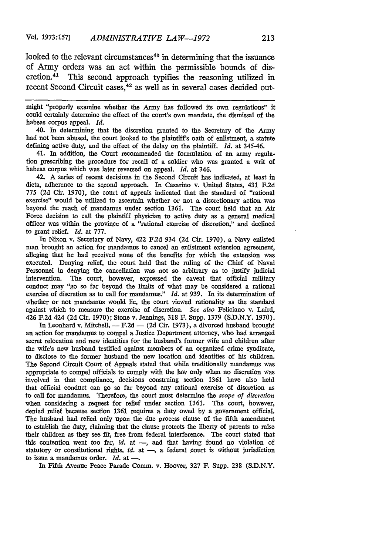looked to the relevant circumstances<sup>40</sup> in determining that the issuance of Army orders was an act within the permissible bounds of discretion.41 This second approach typifies the reasoning utilized in recent Second Circuit cases. $42$  as well as in several cases decided out-

might "properly examine whether the Army has followed its own regulations" it could certainly determine the effect of the court's own mandate, the dismissal of the habeas corpus appeal. *Id.*

40. In determining that the discretion granted to the Secretary of the Army had not been abused, the court looked to the plaintiff's oath of enlistment, a statute defining active duty, and the effect of the delay on the plaintiff. *Id.* at 345-46.

41. In addition, the Court recommended the formulation of an army regulation prescribing the procedure for recall of a soldier who was granted a writ of habeas corpus which was later reversed on appeal. *Id.* at 346.

**42.** A series of recent decisions in the Second Circuit has indicated, at least in dicta, adherence to the second approach. In Casarino v. United States, 431 F.2d 775 **(2d** Cir. 1970), the court of appeals indicated that the standard of "rational exercise" would be utilized to ascertain whether or not a discretionary action was beyond the reach of mandamus under section 1361. The court held that an Air Force decision to call the plaintiff physician to active duty as a general medical officer was within the province of a "rational exercise of discretion," and declined to grant relief. *Id.* at 777.

In Nixon v. Secretary of Navy, 422 F.2d 934 **(2d** Cir. 1970), a Navy enlisted man brought an action for mandamus to cancel an enlistment extension agreement, alleging that he had received none of the benefits for which the extension was executed. Denying relief, the court held that the ruling of the Chief of Naval Personnel in denying the cancellation was not so arbitrary as to justify judicial intervention. The court, however, expressed the caveat that official military conduct may "go so far beyond the limits of what may be considered a rational exercise of discretion as to call for mandamus." *Id.* at 939. In its determination of whether or not mandamus would lie, the court viewed rationality as the standard against which to measure the exercise of discretion. *See also* Feliciano v. Laird, 426 F.2d 424 **(2d** Cir. 1970); Stone v. Jennings, 318 F. Supp. 1379 (S.D.N.Y. 1970).

In Leonhard v. Mitchell,  $- F.2d - (2d Cir. 1973)$ , a divorced husband brought an action for mandamus to compel a Justice Department attorney, who had arranged secret relocation and new identities for the husband's former wife and children after the wife's new husband testified against members of an organized crime syndicate, to disclose to the former husband the new location and identities of his children. The Second Circuit Court of Appeals stated that while traditionally mandamus was appropriate to compel officials to comply with the law only when no discretion was involved in that compliance, decisions construing section 1361 have also held that official conduct can go so far beyond any rational exercise of discretion as to call for mandamus. Therefore, the court must determine the *scope of discretion* when considering a request for relief under section 1361. The court, however, denied relief because section 1361 requires a duty owed by a government official. The husband had relied only upon the due process clause of the fifth amendment to establish the duty, claiming that the clause protects the liberty of parents to raise their children as they see fit, free from federal interference. The court stated that this contention went too far, *id.* at **-,** and that having found no violation of statutory or constitutional rights, *id.* at **-,** a federal ourt is without jurisdiction to issue a mandamus order. *Id.* at --

**In** Fifth Avenue Peace Parade Comm. v. Hoover, 327 F. **Supp. 238** (S.D.N.Y.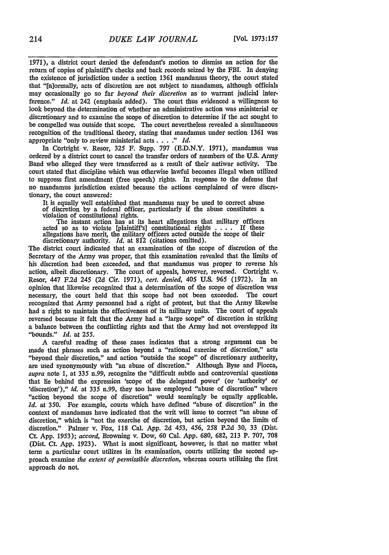1971), a district court denied the defendant's motion to dismiss an action for the return of copies of plaintiff's checks and back records seized by the FBI. In denying the existence of jurisdiction under a section 1361 mandamus theory, the court stated that "[n]ormally, acts of discretion are not subject to mandamus, although officials may occasionally go so far *beyond their discretion* as to warrant judicial interference." *Id.* at 242 (emphasis added). The court thus evidenced a willingness to look beyond the determination of whether an administrative action was ministerial or discretionary and to examine the scope of discretion to determine if the act sought to be compelled was outside that scope. The court nevertheless revealed a simultaneous recognition of the traditional theory, stating that mandamus under section **1361** was appropriate "only to review ministerial acts. . . **."** *Id.*

In Cortright v. Resor, 325 F. Supp. 797 (E.D.N.Y. 1971), mandamus was ordered by a district court to cancel the transfer orders of members of the **U.S.** Army Band who alleged they were transferred as a result of their antiwar activity. The court stated that discipline which was otherwise lawful becomes illegal when utilized to suppress first amendment (free speech) rights. In response to the defense that no mandamus jurisdiction existed because the actions complained of were discretionary, the court answered:

It is equally well established that mandamus may be used to correct abuse of discretion by a federal officer, particularly if the abuse constitutes a violation of constitutional rights.

The instant action has at its heart allegations that military officers acted so as to violate [plaintiff's] constitutional rights . **. .** . If these allegations have merit, the military officers acted outside the scope of their discretionary authority. *Id.* at 812 (citations omitted).

The district court indicated that an examination of the scope of discretion of the Secretary of the Army was proper, that this examination revealed that the limits of his discretion had been exceeded, and that mandamus was proper to reverse his action, albeit discretionary. The court of appeals, however, reversed. Cortright v. Resor, 447 **F.2d** 245 (2d Cir. 1971), *cert. denied, 405* U.S. 965 (1972). In an opinion that likewise recognized that a determination of the scope of discretion was necessary, the court held that this scope had not been exceeded. The court recognized that Army personnel had a right of protest, but that the Army likewise had a right to maintain the effectiveness of its military units. The court of appeals reversed because it felt that the Army had a "large scope" of discretion in striking a balance between the conflicting rights and that the Army had not overstepped its "bounds." *Id.* at 255.

A careful reading of these cases indicates that a strong argument can be made that phrases such as action beyond a "rational exercise of discretion," acts "beyond their discretion," and action "outside the scope" of discretionary authority, are used synonymously with "an abuse of discretion." Although Byse and Fiocca, *supra* note 1, at 335 n.99, recognize the "difficult subtle and controversial questions that lie behind the expression 'scope of the delegated power' (or 'authority' or 'discretion')," *id.* at 335 n.99, they too have employed "abuse of discretion" where "action beyond the scope of discretion" would seemingly be equally applicable. *Id.* at 350. For example, courts which have defined "abuse of discretion" in the context of mandamus have indicated that the writ will issue to correct "an abuse of discretion," which is "not the exercise of discretion, but Action beyond the limits of discretion." Palmer v. Fox, 118 Cal. App. 2d 453, 456, **258** P.2d 30, 33 (Dist. Ct. App. 1953); *accord,* Browning v. Dow, 60 Cal. App. 680, 682, 213 P. 707, 708 (Dist. Ct. App. 1923). What is most significant, however, is that no matter what term a particular court utilizes in its examination, courts utilizing the second approach examine *the extent of permissible discretion,* whereas courts utilizing the first approach do not.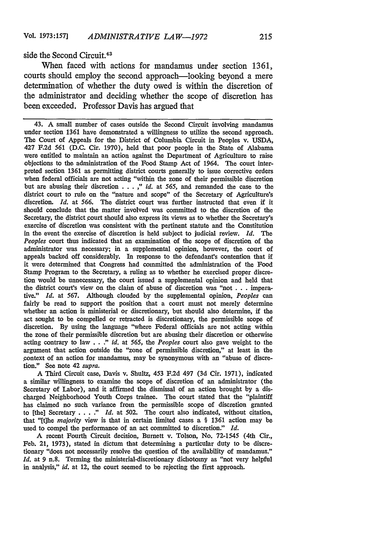side the Second Circuit.<sup>43</sup>

When faced with actions for mandamus under section **1361,** courts should employ the second approach-looking beyond a mere determination of whether the duty owed is within the discretion of the administrator and deciding whether the scope of discretion has been exceeded. Professor Davis has argued that

43. A small number of cases outside the Second Circuit involving mandamus under section **1361** have demonstrated a willingness to utilize the second approach. The Court of Appeals for the District of Columbia Circuit in Peoples v. USDA, 427 F.2d 561 (D.C. Cir. 1970), held that poor people in the State of Alabama were entitled to maintain an action against the Department of Agriculture to raise objections to the administration of the Food Stamp Act of 1964. The court interpreted section 1361 as permitting district courts generally to issue corrective orders when federal officials are not acting "within the zone of their permissible discretion but are abusing their discretion . . . ," *id.* at *565,* and remanded the case to the district court to rule on the "nature and scope" of the Secretary of Agriculture's discretion. *Id.* at 566. The district court was further instructed that even if it should conclude that the matter involved was committed to the discretion of the Secretary, the district court should also express its views as to whether the Secretary's exercise of discretion was consistent with the pertinent statute and the Constitution in the event the exercise of discretion is held subject to judicial review. *Id.* The *Peoples* court thus indicated that an examination of the scope of discretion of the administrator was necessary; in a supplemental opinion, however, the court of appeals backed off considerably. In response to the defendant's contention that if it were determined that Congress had committed the administration of the Food Stamp Program to the Secretary, a ruling as to whether he exercised proper discretion would be unnecessary, the court issued a supplemental opinion and held that the district court's view on the claim of abuse of discretion was "not . . . imperative." *Id.* at 567. Although clouded by the supplemental opinion, *Peoples* can fairly be read to support the position that a court must not merely determine whether an action is ministerial or discretionary, but should also determine, if the act sought to be compelled or retracted is discretionary, the permissible scope of discretion. By using the language "where Federal officials are not acting within the zone of their permissible discretion but are abusing their discretion or otherwise acting contrary to law . . ." *id.* at *565,* the *Peoples* court also gave weight to the argument that action outside the "zone of permissible discretion," at least in the context of an action for mandamus, may be synonymous with an "abuse of discretion." See note 42 *supra.*

A Third Circuit case, Davis v. Shultz, 453 F.2d 497 **(3d** Cir. 1971), indicated a similar willingness to examine the scope of discretion of an administrator (the Secretary of Labor), and it affirmed the dismissal of an action brought by a discharged Neighborhood Youth Corps trainee. The court stated that the "plaintiff has claimed no such variance from the permissible scope of discretion granted to [the] Secretary . **. . ."** *Id.* at 502. The court also indicated, without citation, that "Ithe *majority* view is that in certain limited cases a § 1361 action may be used to compel the performance of an act committed to discretion." *Id.*

A recent Fourth Circuit decision, Burnett v. Tolson, No. 72-1545 (4th Cir., Feb. 21, 1973), stated in dictum that determining a particular duty to be discretionary "does not necessarily resolve the question of the availability of mandamus." *Id.* at 9 n.8. Terming the ministerial-discretionary dichotomy as "not very helpful in analysis," *id.* at 12, the court seemed to be rejecting the first approach.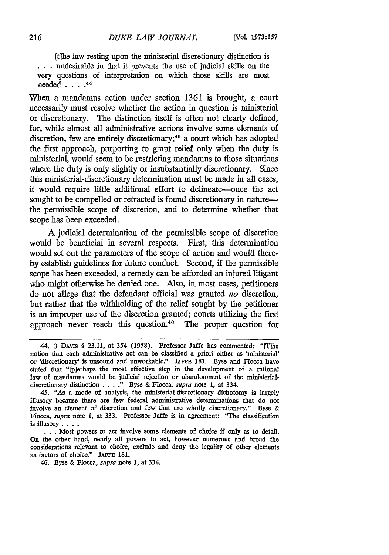[t]he law resting upon the ministerial discretionary distinction is **.. .** undesirable in that it prevents the use of judicial skills on the very questions of interpretation on which those skills are most needed **....** <sup>44</sup>

When a mandamus action under section 1361 is brought, a court necessarily must resolve whether the action in question is ministerial or discretionary. The distinction itself is often not clearly defined, for, while almost all administrative actions involve some elements of discretion, few are entirely discretionary;<sup>45</sup> a court which has adopted the first approach, purporting to grant relief only when the duty is ministerial, would seem to be restricting mandamus to those situations where the duty is only slightly or insubstantially discretionary. Since this ministerial-discretionary determination must be made in all cases, it would require little additional effort to delineate-once the act sought to be compelled or retracted is found discretionary in naturethe permissible scope of discretion, and to determine whether that scope has been exceeded.

A judicial determination of the permissible scope of discretion would be beneficial in several respects. First, this determination would set out the parameters of the scope of action and would thereby establish guidelines for future conduct. Second, if the permissible scope has been exceeded, a remedy can be afforded an injured litigant who might otherwise be denied one. Also, in most cases, petitioners do not allege that the defendant official was granted *no* discretion, but rather that the withholding of the relief sought by the petitioner is an improper use of the discretion granted; courts utilizing the first approach never reach this question.<sup>46</sup> The proper question for

<sup>44. 3</sup> DAVIS § 23.11, at 354 (1958). Professor Jaffe has commented: "IThe notion that each administrative act can be classified a priori either as 'ministerial' or 'discretionary' is unsound and unworkable." **JAFFE 181.** Byse and Fiocca have stated that "[p]erhaps the most effective step in the development of a rational law of mandamus would be judicial rejection or abandonment of the ministerial. discretionary distinction . **. . .**" Byse **&** Fiocca, *supra* note **1,** at 334.

<sup>45. &</sup>quot;As a mode of analysis, the ministerial-discretionary dichotomy is largely illusory because there are few federal administrative determinations that do not involve an element of discretion and few that are wholly discretionary." Byse **&** Fiocca, *supra* note **1,** at 333. Professor Jaffe is in agreement: "The classification is illusory **....**

<sup>...</sup> Most powers to act involve some elements of choice if only as to detail. On the other hand, nearly all powers to **act,** however numerous and broad the considerations relevant to choice, exclude and deny the legality of other elements as factors of choice." JAFFE 181.

<sup>46.</sup> Byse & Fiocca, *supra* note 1, at 334.